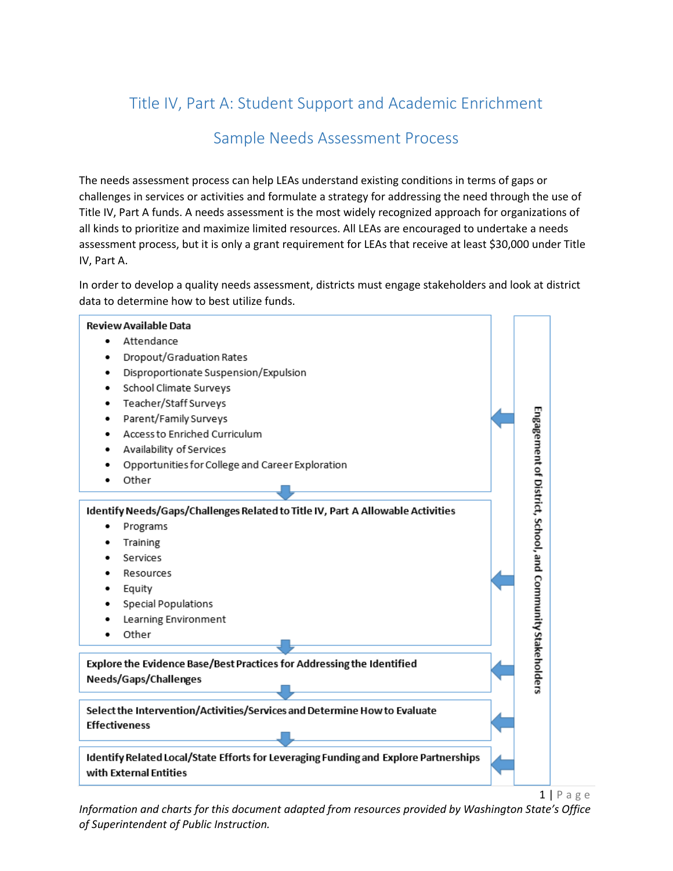# Title IV, Part A: Student Support and Academic Enrichment

# Sample Needs Assessment Process

The needs assessment process can help LEAs understand existing conditions in terms of gaps or challenges in services or activities and formulate a strategy for addressing the need through the use of Title IV, Part A funds. A needs assessment is the most widely recognized approach for organizations of all kinds to prioritize and maximize limited resources. All LEAs are encouraged to undertake a needs assessment process, but it is only a grant requirement for LEAs that receive at least \$30,000 under Title IV, Part A.

In order to develop a quality needs assessment, districts must engage stakeholders and look at district data to determine how to best utilize funds.



 $1 | P$  a g e

*Information and charts for this document adapted from resources provided by Washington State's Office of Superintendent of Public Instruction.*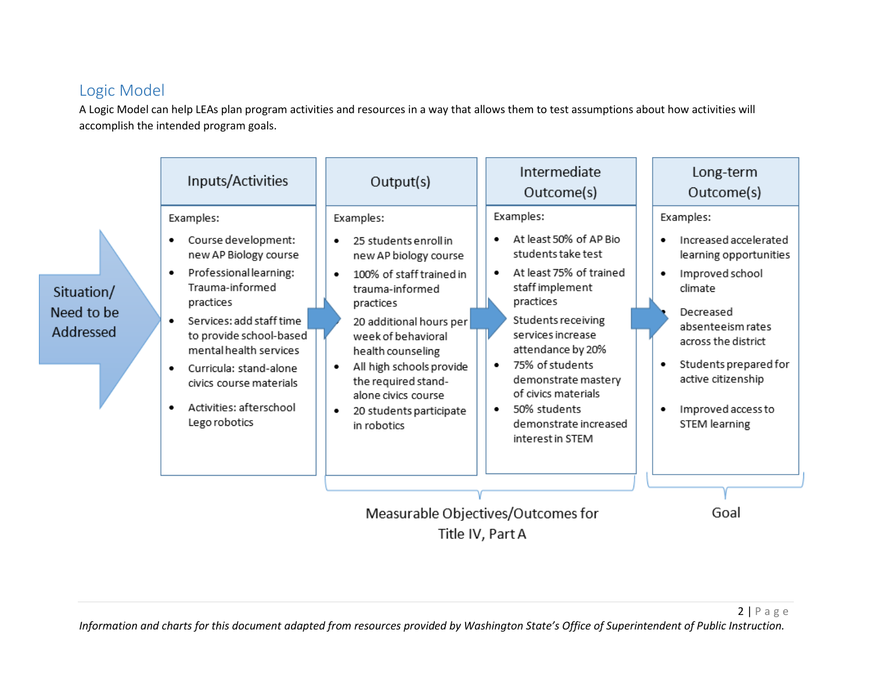# Logic Model

A Logic Model can help LEAs plan program activities and resources in a way that allows them to test assumptions about how activities will accomplish the intended program goals.

|                                                        | Inputs/Activities                                                                                                                                                                                                                                                                                                         | Output(s)                                                                                                                                                                                                                                                                                                                        | Intermediate<br>Outcome(s)                                                                                                                                                                                                                                                                                                        | Long-term<br>Outcome(s)                                                                                                                                                                                                                   |
|--------------------------------------------------------|---------------------------------------------------------------------------------------------------------------------------------------------------------------------------------------------------------------------------------------------------------------------------------------------------------------------------|----------------------------------------------------------------------------------------------------------------------------------------------------------------------------------------------------------------------------------------------------------------------------------------------------------------------------------|-----------------------------------------------------------------------------------------------------------------------------------------------------------------------------------------------------------------------------------------------------------------------------------------------------------------------------------|-------------------------------------------------------------------------------------------------------------------------------------------------------------------------------------------------------------------------------------------|
| Situation/<br>Need to be<br>Addressed                  | Examples:<br>Course development:<br>٠<br>new AP Biology course<br>Professional learning:<br>٠<br>Trauma-informed<br>practices<br>Services: add staff time<br>to provide school-based<br>mental health services<br>Curricula: stand-alone<br>٠<br>civics course materials<br>Activities: afterschool<br>٠<br>Lego robotics | Examples:<br>25 students enroll in<br>new AP biology course<br>100% of staff trained in<br>٠<br>trauma-informed<br>practices<br>20 additional hours per<br>week of behavioral<br>health counseling<br>All high schools provide<br>٠<br>the required stand-<br>alone civics course<br>20 students participate<br>٠<br>in robotics | Examples:<br>At least 50% of AP Bio<br>students take test<br>At least 75% of trained<br>٠<br>staff implement<br>practices<br>Students receiving<br>services increase<br>attendance by 20%<br>75% of students<br>٠<br>demonstrate mastery<br>of civics materials<br>50% students<br>٠<br>demonstrate increased<br>interest in STEM | Examples:<br>Increased accelerated<br>learning opportunities<br>Improved school<br>climate<br>Decreased<br>absenteeism rates<br>across the district<br>Students prepared for<br>active citizenship<br>Improved access to<br>STEM learning |
| Measurable Objectives/Outcomes for<br>Title IV, Part A |                                                                                                                                                                                                                                                                                                                           |                                                                                                                                                                                                                                                                                                                                  |                                                                                                                                                                                                                                                                                                                                   | Goal                                                                                                                                                                                                                                      |

*Information and charts for this document adapted from resources provided by Washington State's Office of Superintendent of Public Instruction.*

2 | P a g e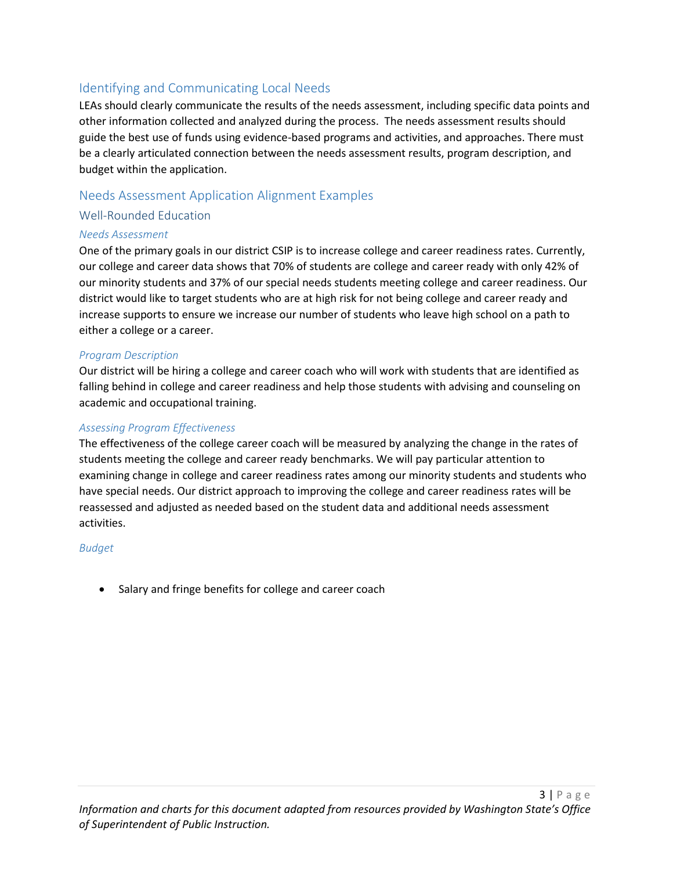# Identifying and Communicating Local Needs

LEAs should clearly communicate the results of the needs assessment, including specific data points and other information collected and analyzed during the process. The needs assessment results should guide the best use of funds using evidence-based programs and activities, and approaches. There must be a clearly articulated connection between the needs assessment results, program description, and budget within the application.

## Needs Assessment Application Alignment Examples

## Well-Rounded Education

## *Needs Assessment*

One of the primary goals in our district CSIP is to increase college and career readiness rates. Currently, our college and career data shows that 70% of students are college and career ready with only 42% of our minority students and 37% of our special needs students meeting college and career readiness. Our district would like to target students who are at high risk for not being college and career ready and increase supports to ensure we increase our number of students who leave high school on a path to either a college or a career.

## *Program Description*

Our district will be hiring a college and career coach who will work with students that are identified as falling behind in college and career readiness and help those students with advising and counseling on academic and occupational training.

## *Assessing Program Effectiveness*

The effectiveness of the college career coach will be measured by analyzing the change in the rates of students meeting the college and career ready benchmarks. We will pay particular attention to examining change in college and career readiness rates among our minority students and students who have special needs. Our district approach to improving the college and career readiness rates will be reassessed and adjusted as needed based on the student data and additional needs assessment activities.

#### *Budget*

• Salary and fringe benefits for college and career coach